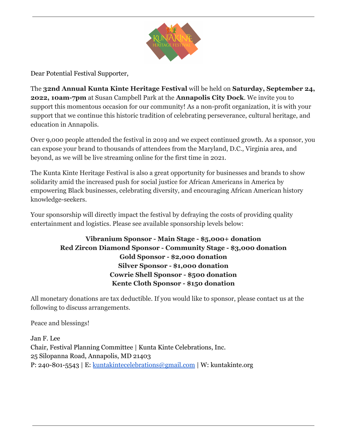

Dear Potential Festival Supporter,

The **32nd Annual Kunta Kinte Heritage Festival** will be held on **Saturday, September 24, 2022, 10am-7pm** at Susan Campbell Park at the **Annapolis City Dock**. We invite you to support this momentous occasion for our community! As a non-profit organization, it is with your support that we continue this historic tradition of celebrating perseverance, cultural heritage, and education in Annapolis.

Over 9,000 people attended the festival in 2019 and we expect continued growth. As a sponsor, you can expose your brand to thousands of attendees from the Maryland, D.C., Virginia area, and beyond, as we will be live streaming online for the first time in 2021.

The Kunta Kinte Heritage Festival is also a great opportunity for businesses and brands to show solidarity amid the increased push for social justice for African Americans in America by empowering Black businesses, celebrating diversity, and encouraging African American history knowledge-seekers.

Your sponsorship will directly impact the festival by defraying the costs of providing quality entertainment and logistics. Please see available sponsorship levels below:

### **Vibranium Sponsor - Main Stage - \$5,000+ donation Red Zircon Diamond Sponsor - Community Stage - \$3,000 donation Gold Sponsor - \$2,000 donation Silver Sponsor - \$1,000 donation Cowrie Shell Sponsor - \$500 donation Kente Cloth Sponsor - \$150 donation**

All monetary donations are tax deductible. If you would like to sponsor, please contact us at the following to discuss arrangements.

Peace and blessings!

Jan F. Lee Chair, Festival Planning Committee | Kunta Kinte Celebrations, Inc. 25 Silopanna Road, Annapolis, MD 21403 P: 240-801-5543 | E: [kuntakintecelebrations@gmail.com](mailto:kuntakintecelebrations@gmail.com) | W: kuntakinte.org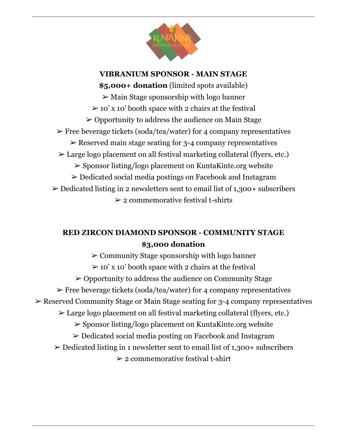

**VIBRANIUM SPONSOR - MAIN STAGE \$5,000+ donation** (limited spots available)  $\triangleright$  Main Stage sponsorship with logo banner  $\geq 10'$  x 10' booth space with 2 chairs at the festival  $\geq$  Opportunity to address the audience on Main Stage  $\triangleright$  Free beverage tickets (soda/tea/water) for 4 company representatives  $\geq$  Reserved main stage seating for 3-4 company representatives ➢ Large logo placement on all festival marketing collateral (flyers, etc.) ➢ Sponsor listing/logo placement on KuntaKinte.org website ➢ Dedicated social media postings on Facebook and Instagram  $\geq$  Dedicated listing in 2 newsletters sent to email list of 1,300+ subscribers  $\geq 2$  commemorative festival t-shirts

# **RED ZIRCON DIAMOND SPONSOR - COMMUNITY STAGE \$3,000 donation**

 $\geq$  Community Stage sponsorship with logo banner  $\geq 10'$  x 10' booth space with 2 chairs at the festival ➢ Opportunity to address the audience on Community Stage  $\triangleright$  Free beverage tickets (soda/tea/water) for 4 company representatives ➢ Reserved Community Stage or Main Stage seating for 3-4 company representatives ➢ Large logo placement on all festival marketing collateral (flyers, etc.) ➢ Sponsor listing/logo placement on KuntaKinte.org website ➢ Dedicated social media posting on Facebook and Instagram  $\geq$  Dedicated listing in 1 newsletter sent to email list of 1,300+ subscribers  $\geq 2$  commemorative festival t-shirt